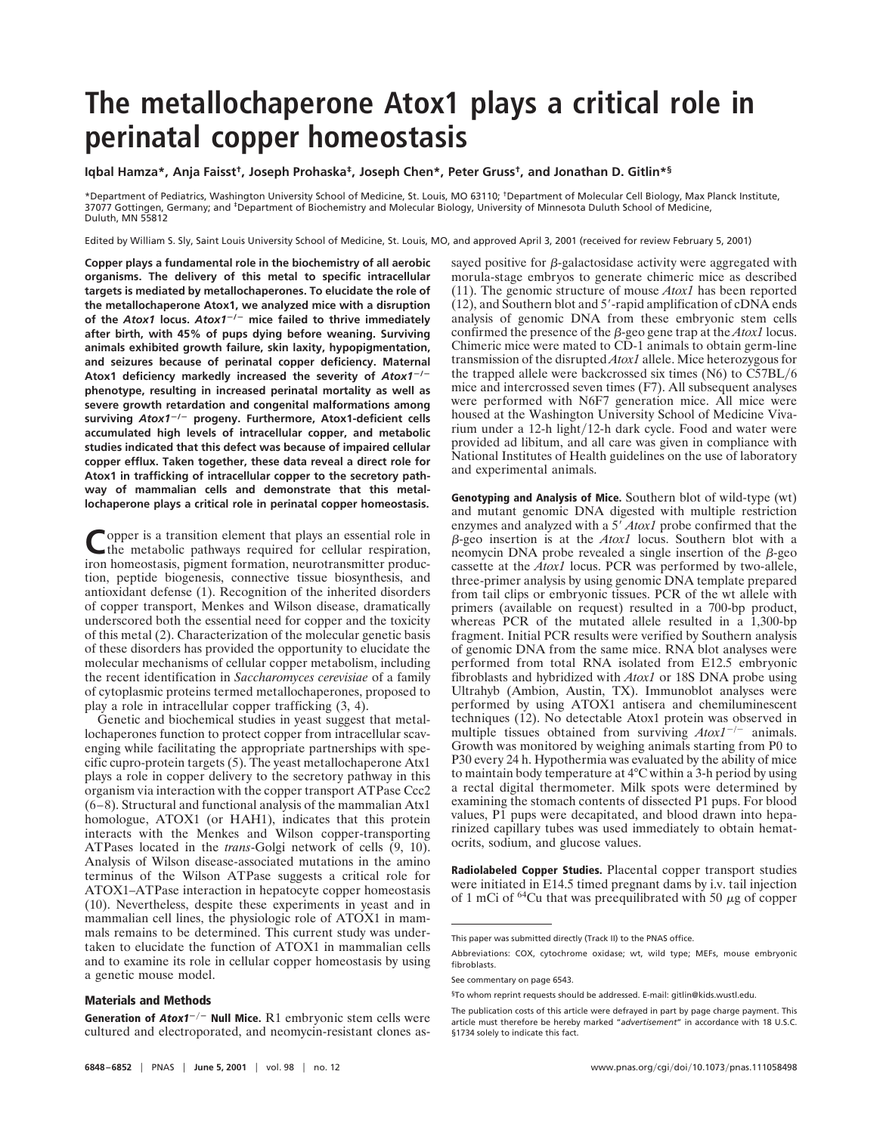# **The metallochaperone Atox1 plays a critical role in perinatal copper homeostasis**

## **Iqbal Hamza\*, Anja Faisst†, Joseph Prohaska‡, Joseph Chen\*, Peter Gruss†, and Jonathan D. Gitlin\*§**

\*Department of Pediatrics, Washington University School of Medicine, St. Louis, MO 63110; †Department of Molecular Cell Biology, Max Planck Institute, 37077 Gottingen, Germany; and <sup>‡</sup>Department of Biochemistry and Molecular Biology, University of Minnesota Duluth School of Medicine, Duluth, MN 55812

Edited by William S. Sly, Saint Louis University School of Medicine, St. Louis, MO, and approved April 3, 2001 (received for review February 5, 2001)

**Copper plays a fundamental role in the biochemistry of all aerobic organisms. The delivery of this metal to specific intracellular targets is mediated by metallochaperones. To elucidate the role of the metallochaperone Atox1, we analyzed mice with a disruption of the** *Atox1* **locus.** *Atox1*2**/**<sup>2</sup> **mice failed to thrive immediately after birth, with 45% of pups dying before weaning. Surviving animals exhibited growth failure, skin laxity, hypopigmentation, and seizures because of perinatal copper deficiency. Maternal** Atox1 deficiency markedly increased the severity of Atox1<sup>-/-</sup> **phenotype, resulting in increased perinatal mortality as well as severe growth retardation and congenital malformations among** surviving Atox1<sup>-/-</sup> progeny. Furthermore, Atox1-deficient cells **accumulated high levels of intracellular copper, and metabolic studies indicated that this defect was because of impaired cellular copper efflux. Taken together, these data reveal a direct role for Atox1 in trafficking of intracellular copper to the secretory pathway of mammalian cells and demonstrate that this metallochaperone plays a critical role in perinatal copper homeostasis.**

Copper is a transition element that plays an essential role in the metabolic pathways required for cellular respiration, iron homeostasis, pigment formation, neurotransmitter production, peptide biogenesis, connective tissue biosynthesis, and antioxidant defense (1). Recognition of the inherited disorders of copper transport, Menkes and Wilson disease, dramatically underscored both the essential need for copper and the toxicity of this metal (2). Characterization of the molecular genetic basis of these disorders has provided the opportunity to elucidate the molecular mechanisms of cellular copper metabolism, including the recent identification in *Saccharomyces cerevisiae* of a family of cytoplasmic proteins termed metallochaperones, proposed to play a role in intracellular copper trafficking (3, 4).

Genetic and biochemical studies in yeast suggest that metallochaperones function to protect copper from intracellular scavenging while facilitating the appropriate partnerships with specific cupro-protein targets (5). The yeast metallochaperone Atx1 plays a role in copper delivery to the secretory pathway in this organism via interaction with the copper transport ATPase Ccc2 (6–8). Structural and functional analysis of the mammalian Atx1 homologue, ATOX1 (or HAH1), indicates that this protein interacts with the Menkes and Wilson copper-transporting ATPases located in the *trans*-Golgi network of cells (9, 10). Analysis of Wilson disease-associated mutations in the amino terminus of the Wilson ATPase suggests a critical role for ATOX1–ATPase interaction in hepatocyte copper homeostasis (10). Nevertheless, despite these experiments in yeast and in mammalian cell lines, the physiologic role of ATOX1 in mammals remains to be determined. This current study was undertaken to elucidate the function of ATOX1 in mammalian cells and to examine its role in cellular copper homeostasis by using a genetic mouse model.

#### **Materials and Methods**

Generation of Atox1<sup>-/-</sup> Null Mice. R1 embryonic stem cells were cultured and electroporated, and neomycin-resistant clones assayed positive for  $\beta$ -galactosidase activity were aggregated with morula-stage embryos to generate chimeric mice as described (11). The genomic structure of mouse *Atox1* has been reported  $(12)$ , and Southern blot and 5'-rapid amplification of cDNA ends analysis of genomic DNA from these embryonic stem cells confirmed the presence of the  $\beta$ -geo gene trap at the *Atox1* locus. Chimeric mice were mated to CD-1 animals to obtain germ-line transmission of the disrupted *Atox1* allele. Mice heterozygous for the trapped allele were backcrossed six times  $(N6)$  to  $\overline{C57BL}/6$ mice and intercrossed seven times (F7). All subsequent analyses were performed with N6F7 generation mice. All mice were housed at the Washington University School of Medicine Vivarium under a 12-h light/12-h dark cycle. Food and water were provided ad libitum, and all care was given in compliance with National Institutes of Health guidelines on the use of laboratory and experimental animals.

**Genotyping and Analysis of Mice.** Southern blot of wild-type (wt) and mutant genomic DNA digested with multiple restriction enzymes and analyzed with a 5<sup>'</sup> *Atox1* probe confirmed that the b-geo insertion is at the *Atox1* locus. Southern blot with a neomycin DNA probe revealed a single insertion of the  $\beta$ -geo cassette at the *Atox1* locus. PCR was performed by two-allele, three-primer analysis by using genomic DNA template prepared from tail clips or embryonic tissues. PCR of the wt allele with primers (available on request) resulted in a 700-bp product, whereas PCR of the mutated allele resulted in a 1,300-bp fragment. Initial PCR results were verified by Southern analysis of genomic DNA from the same mice. RNA blot analyses were performed from total RNA isolated from E12.5 embryonic fibroblasts and hybridized with *Atox1* or 18S DNA probe using Ultrahyb (Ambion, Austin, TX). Immunoblot analyses were performed by using ATOX1 antisera and chemiluminescent techniques (12). No detectable Atox1 protein was observed in multiple tissues obtained from surviving  $A\text{to}x1^{-/-}$  animals. Growth was monitored by weighing animals starting from P0 to P30 every 24 h. Hypothermia was evaluated by the ability of mice to maintain body temperature at 4°C within a 3-h period by using a rectal digital thermometer. Milk spots were determined by examining the stomach contents of dissected P1 pups. For blood values, P1 pups were decapitated, and blood drawn into heparinized capillary tubes was used immediately to obtain hematocrits, sodium, and glucose values.

**Radiolabeled Copper Studies.** Placental copper transport studies were initiated in E14.5 timed pregnant dams by i.v. tail injection of 1 mCi of  $^{64}$ Cu that was preequilibrated with 50  $\mu$ g of copper

This paper was submitted directly (Track II) to the PNAS office.

Abbreviations: COX, cytochrome oxidase; wt, wild type; MEFs, mouse embryonic fibroblasts.

See commentary on page 6543.

<sup>§</sup>To whom reprint requests should be addressed. E-mail: gitlin@kids.wustl.edu.

The publication costs of this article were defrayed in part by page charge payment. This article must therefore be hereby marked "*advertisement*" in accordance with 18 U.S.C. §1734 solely to indicate this fact.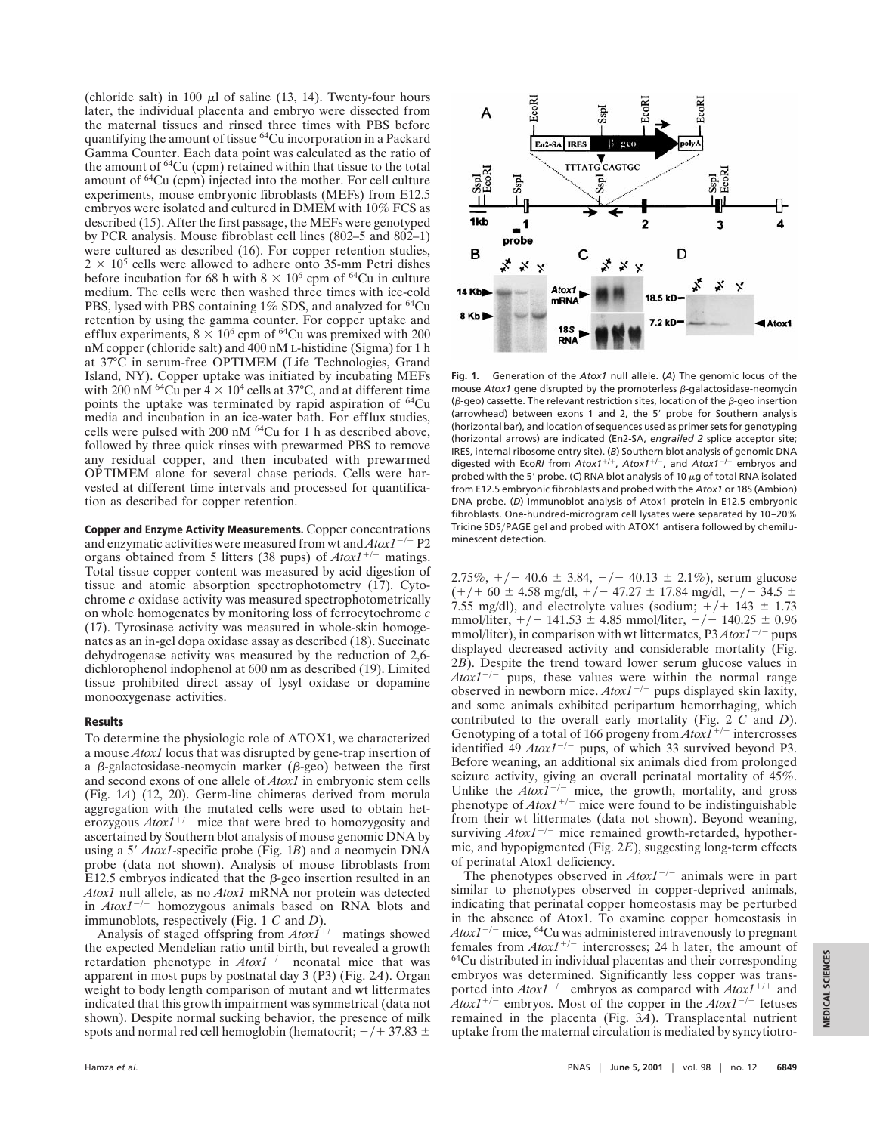(chloride salt) in 100  $\mu$ l of saline (13, 14). Twenty-four hours later, the individual placenta and embryo were dissected from the maternal tissues and rinsed three times with PBS before quantifying the amount of tissue 64Cu incorporation in a Packard Gamma Counter. Each data point was calculated as the ratio of the amount of 64Cu (cpm) retained within that tissue to the total amount of 64Cu (cpm) injected into the mother. For cell culture experiments, mouse embryonic fibroblasts (MEFs) from E12.5 embryos were isolated and cultured in DMEM with 10% FCS as described (15). After the first passage, the MEFs were genotyped by PCR analysis. Mouse fibroblast cell lines (802–5 and 802–1) were cultured as described (16). For copper retention studies,  $2 \times 10^5$  cells were allowed to adhere onto 35-mm Petri dishes before incubation for 68 h with  $8 \times 10^6$  cpm of <sup>64</sup>Cu in culture medium. The cells were then washed three times with ice-cold PBS, lysed with PBS containing 1% SDS, and analyzed for <sup>64</sup>Cu retention by using the gamma counter. For copper uptake and efflux experiments,  $8 \times 10^6$  cpm of <sup>64</sup>Cu was premixed with 200 nM copper (chloride salt) and 400 nM L-histidine (Sigma) for 1 h at 37°C in serum-free OPTIMEM (Life Technologies, Grand Island, NY). Copper uptake was initiated by incubating MEFs with 200 nM <sup>64</sup>Cu per  $4 \times 10^4$  cells at 37°C, and at different time points the uptake was terminated by rapid aspiration of 64Cu media and incubation in an ice-water bath. For efflux studies, cells were pulsed with 200 nM  $^{64}$ Cu for 1 h as described above, followed by three quick rinses with prewarmed PBS to remove any residual copper, and then incubated with prewarmed OPTIMEM alone for several chase periods. Cells were harvested at different time intervals and processed for quantification as described for copper retention.

**Copper and Enzyme Activity Measurements.** Copper concentrations and enzymatic activities were measured from wt and  $A\text{to}1^{-/-}$  P2 organs obtained from 5 litters (38 pups) of  $A\text{to}1^{+/-}$  matings. Total tissue copper content was measured by acid digestion of tissue and atomic absorption spectrophotometry (17). Cytochrome *c* oxidase activity was measured spectrophotometrically on whole homogenates by monitoring loss of ferrocytochrome *c* (17). Tyrosinase activity was measured in whole-skin homogenates as an in-gel dopa oxidase assay as described (18). Succinate dehydrogenase activity was measured by the reduction of 2,6 dichlorophenol indophenol at 600 nm as described (19). Limited tissue prohibited direct assay of lysyl oxidase or dopamine monooxygenase activities.

## **Results**

To determine the physiologic role of ATOX1, we characterized a mouse *Atox1* locus that was disrupted by gene-trap insertion of a  $\beta$ -galactosidase-neomycin marker ( $\beta$ -geo) between the first and second exons of one allele of *Atox1* in embryonic stem cells (Fig. 1*A*) (12, 20). Germ-line chimeras derived from morula aggregation with the mutated cells were used to obtain het- $\frac{1}{2}$ erozygous  $A\text{to}1^{+/-}$  mice that were bred to homozygosity and ascertained by Southern blot analysis of mouse genomic DNA by using a 5' *Atox1*-specific probe (Fig. 1*B*) and a neomycin DNA probe (data not shown). Analysis of mouse fibroblasts from E12.5 embryos indicated that the  $\beta$ -geo insertion resulted in an *Atox1* null allele, as no *Atox1* mRNA nor protein was detected in  $Atox1^{-/-}$  homozygous animals based on RNA blots and immunoblots, respectively (Fig. 1 *C* and *D*).

Analysis of staged offspring from  $Atox1^{+/-}$  matings showed the expected Mendelian ratio until birth, but revealed a growth retardation phenotype in  $A\text{to}xI^{-/-}$  neonatal mice that was apparent in most pups by postnatal day 3 (P3) (Fig. 2*A*). Organ weight to body length comparison of mutant and wt littermates indicated that this growth impairment was symmetrical (data not shown). Despite normal sucking behavior, the presence of milk spots and normal red cell hemoglobin (hematocrit;  $+/-$  37.83  $\pm$ 



**Fig. 1.** Generation of the *Atox1* null allele. (*A*) The genomic locus of the mouse  $A$ tox1 gene disrupted by the promoterless  $\beta$ -galactosidase-neomycin ( $\beta$ -geo) cassette. The relevant restriction sites, location of the  $\beta$ -geo insertion (arrowhead) between exons 1 and 2, the 5' probe for Southern analysis (horizontal bar), and location of sequences used as primer sets for genotyping (horizontal arrows) are indicated (En2-SA, *engrailed 2* splice acceptor site; IRES, internal ribosome entry site). (*B*) Southern blot analysis of genomic DNA digested with Eco*RI* from *Atox1<sup>+/+</sup>*, *Atox1<sup>+/-</sup>*, and *Atox1<sup>-/-</sup>* embryos and probed with the 5' probe. (C) RNA blot analysis of 10  $\mu$ g of total RNA isolated from E12.5 embryonic fibroblasts and probed with the *Atox1* or 18S (Ambion) DNA probe. (*D*) Immunoblot analysis of Atox1 protein in E12.5 embryonic fibroblasts. One-hundred-microgram cell lysates were separated by 10–20% Tricine SDS/PAGE gel and probed with ATOX1 antisera followed by chemiluminescent detection.

2.75%,  $+/-$  40.6  $\pm$  3.84,  $-/-$  40.13  $\pm$  2.1%), serum glucose  $(+/- 60 \pm 4.58 \text{ mg/dl}, +/- 47.27 \pm 17.84 \text{ mg/dl}, -/- 34.5 \pm 17.84 \text{ mg/dl}$ 7.55 mg/dl), and electrolyte values (sodium;  $+/+$  143  $\pm$  1.73 mmol/liter,  $+/- 141.53 \pm 4.85$  mmol/liter,  $-/- 140.25 \pm 0.96$ mmol/liter), in comparison with wt littermates,  $P3A\tau$ tox $1^{-/-}$  pups displayed decreased activity and considerable mortality (Fig. 2*B*). Despite the trend toward lower serum glucose values in  $A\alpha xI^{-/-}$  pups, these values were within the normal range observed in newborn mice.  $A\text{to}xI^{-/-}$  pups displayed skin laxity, and some animals exhibited peripartum hemorrhaging, which contributed to the overall early mortality (Fig. 2 *C* and *D*). Genotyping of a total of 166 progeny from  $AtoxI^{+/-}$  intercrosses identified 49  $Atox1^{-/-}$  pups, of which 33 survived beyond P3. Before weaning, an additional six animals died from prolonged seizure activity, giving an overall perinatal mortality of 45%. Unlike the  $A\text{to}xI^{-/-}$  mice, the growth, mortality, and gross phenotype of  $A\text{to}1^{+/-}$  mice were found to be indistinguishable from their wt littermates (data not shown). Beyond weaning, surviving  $A\text{to}xI^{-/-}$  mice remained growth-retarded, hypothermic, and hypopigmented (Fig. 2*E*), suggesting long-term effects of perinatal Atox1 deficiency.

The phenotypes observed in  $Atox1^{-/-}$  animals were in part similar to phenotypes observed in copper-deprived animals, indicating that perinatal copper homeostasis may be perturbed in the absence of Atox1. To examine copper homeostasis in  $A\alpha xI^{-/-}$  mice, <sup>64</sup>Cu was administered intravenously to pregnant females from  $Atox1^{+/-}$  intercrosses; 24 h later, the amount of 64Cu distributed in individual placentas and their corresponding embryos was determined. Significantly less copper was transported into  $Atox1^{-/-}$  embryos as compared with  $Atox1^{+/+}$  and  $A$ tox1<sup>+/-</sup> embryos. Most of the copper in the  $A$ tox1<sup>-/-</sup> fetuses remained in the placenta (Fig. 3*A*). Transplacental nutrient uptake from the maternal circulation is mediated by syncytiotro-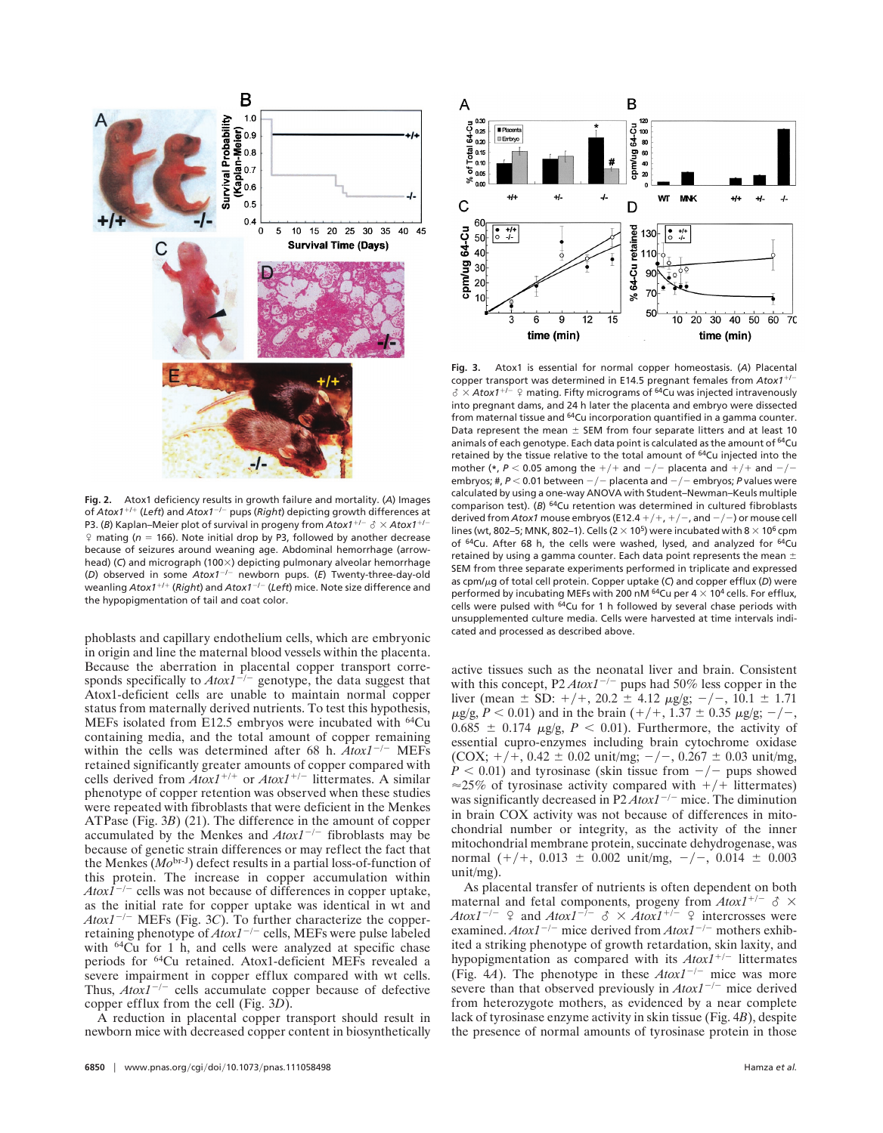

**Fig. 2.** Atox1 deficiency results in growth failure and mortality. (*A*) Images of *Atox1<sup>+/+</sup>* (*Left*) and *Atox1<sup>-/-</sup>* pups (*Right*) depicting growth differences at P3. (B) Kaplan–Meier plot of survival in progeny from  $A\text{to}x1^{+/-} \delta \times A\text{to}x1^{+/-}$  $\sqrt{ }$  mating ( $n = 166$ ). Note initial drop by P3, followed by another decrease because of seizures around weaning age. Abdominal hemorrhage (arrowhead) (C) and micrograph (100×) depicting pulmonary alveolar hemorrhage (*D*) observed in some *Atox1<sup>-/-</sup>* newborn pups. (*E*) Twenty-three-day-old weanling *Atox1<sup>+/+</sup>* (*Right*) and *Atox1<sup>-/-</sup>* (*Left*) mice. Note size difference and the hypopigmentation of tail and coat color.

phoblasts and capillary endothelium cells, which are embryonic in origin and line the maternal blood vessels within the placenta. Because the aberration in placental copper transport corresponds specifically to  $Atox1^{-/-}$  genotype, the data suggest that Atox1-deficient cells are unable to maintain normal copper status from maternally derived nutrients. To test this hypothesis, MEFs isolated from E12.5 embryos were incubated with 64Cu containing media, and the total amount of copper remaining within the cells was determined after 68 h.  $A\tau/\gamma$ <sup>-/-</sup> MEFs retained significantly greater amounts of copper compared with cells derived from  $A\tau xI^{+/+}$  or  $A\tau xI^{+/-}$  littermates. A similar phenotype of copper retention was observed when these studies were repeated with fibroblasts that were deficient in the Menkes ATPase (Fig. 3*B*) (21). The difference in the amount of copper accumulated by the Menkes and  $Atox1^{-/-}$  fibroblasts may be because of genetic strain differences or may reflect the fact that the Menkes (*Mo*br-J) defect results in a partial loss-of-function of this protein. The increase in copper accumulation within  $A\alpha x\overline{I}^{-1}$  cells was not because of differences in copper uptake, as the initial rate for copper uptake was identical in wt and  $A\text{to}t^{-/-}$  MEFs (Fig. 3*C*). To further characterize the copperretaining phenotype of  $A\text{to}1^{-/-}$  cells, MEFs were pulse labeled with <sup>64</sup>Cu for 1 h, and cells were analyzed at specific chase periods for 64Cu retained. Atox1-deficient MEFs revealed a severe impairment in copper efflux compared with wt cells. Thus,  $A\text{to}x1^{-/-}$  cells accumulate copper because of defective copper efflux from the cell (Fig. 3*D*).

A reduction in placental copper transport should result in newborn mice with decreased copper content in biosynthetically



**Fig. 3.** Atox1 is essential for normal copper homeostasis. (*A*) Placental copper transport was determined in E14.5 pregnant females from Atox1<sup>+/-</sup>  $\delta \times$  Atox1<sup>+/-</sup> <sup> $\circ$ </sup> mating. Fifty micrograms of <sup>64</sup>Cu was injected intravenously into pregnant dams, and 24 h later the placenta and embryo were dissected from maternal tissue and <sup>64</sup>Cu incorporation quantified in a gamma counter. Data represent the mean  $\pm$  SEM from four separate litters and at least 10 animals of each genotype. Each data point is calculated as the amount of <sup>64</sup>Cu retained by the tissue relative to the total amount of 64Cu injected into the mother (\*,  $P < 0.05$  among the  $+/+$  and  $-/-$  placenta and  $+/+$  and  $-/$ embryos; #,  $P < 0.01$  between  $-/-$  placenta and  $-/-$  embryos; *P* values were calculated by using a one-way ANOVA with Student–Newman–Keuls multiple comparison test). (*B*) <sup>64</sup>Cu retention was determined in cultured fibroblasts derived from *Atox1* mouse embryos (E12.4  $+/+, +/-$ , and  $-/-$ ) or mouse cell lines (wt, 802–5; MNK, 802–1). Cells (2  $\times$  10<sup>5</sup>) were incubated with 8  $\times$  10<sup>6</sup> cpm of <sup>64</sup>Cu. After 68 h, the cells were washed, lysed, and analyzed for <sup>64</sup>Cu retained by using a gamma counter. Each data point represents the mean  $\pm$ SEM from three separate experiments performed in triplicate and expressed as cpm/ $\mu$ g of total cell protein. Copper uptake (C) and copper efflux (D) were performed by incubating MEFs with 200 nM  $^{64}$ Cu per 4  $\times$  10<sup>4</sup> cells. For efflux, cells were pulsed with <sup>64</sup>Cu for 1 h followed by several chase periods with unsupplemented culture media. Cells were harvested at time intervals indicated and processed as described above.

active tissues such as the neonatal liver and brain. Consistent with this concept,  $P2 A \text{to} 1^{-/-}$  pups had 50% less copper in the liver (mean  $\pm$  SD:  $+$ / $+$ , 20.2  $\pm$  4.12  $\mu$ g/g;  $-$ / $-$ , 10.1  $\pm$  1.71  $\mu$ g/g, *P* < 0.01) and in the brain (+/+, 1.37  $\pm$  0.35  $\mu$ g/g; -/-,  $0.685 \pm 0.174$   $\mu$ g/g,  $P < 0.01$ ). Furthermore, the activity of essential cupro-enzymes including brain cytochrome oxidase (COX;  $+/+, 0.42 \pm 0.02$  unit/mg;  $-/-$ , 0.267  $\pm$  0.03 unit/mg,  $P < 0.01$ ) and tyrosinase (skin tissue from  $-\prime$  pups showed  $\approx$ 25% of tyrosinase activity compared with  $+/+$  littermates) was significantly decreased in  $P2A\tau/\tau$  mice. The diminution in brain COX activity was not because of differences in mitochondrial number or integrity, as the activity of the inner mitochondrial membrane protein, succinate dehydrogenase, was normal  $(+/+, 0.013 \pm 0.002 \text{ unit/mg}, -/-, 0.014 \pm 0.003$ unit/mg).

As placental transfer of nutrients is often dependent on both maternal and fetal components, progeny from  $Atox1^{+/-} \text{ } \delta \times$ *Atox1<sup>-/-</sup>*  $\Omega$  and *Atox1<sup>-/-</sup>*  $\delta \times$  *Atox1<sup>+/-</sup>*  $\Omega$  intercrosses were examined.  $A\text{to}tI^{-/-}$  mice derived from  $A\text{to}tI^{-/-}$  mothers exhibited a striking phenotype of growth retardation, skin laxity, and hypopigmentation as compared with its  $A\text{to}xI^{+/-}$  littermates (Fig. 4*A*). The phenotype in these  $Atox1^{-/-}$  mice was more severe than that observed previously in  $Atox1^{-/-}$  mice derived from heterozygote mothers, as evidenced by a near complete lack of tyrosinase enzyme activity in skin tissue (Fig. 4*B*), despite the presence of normal amounts of tyrosinase protein in those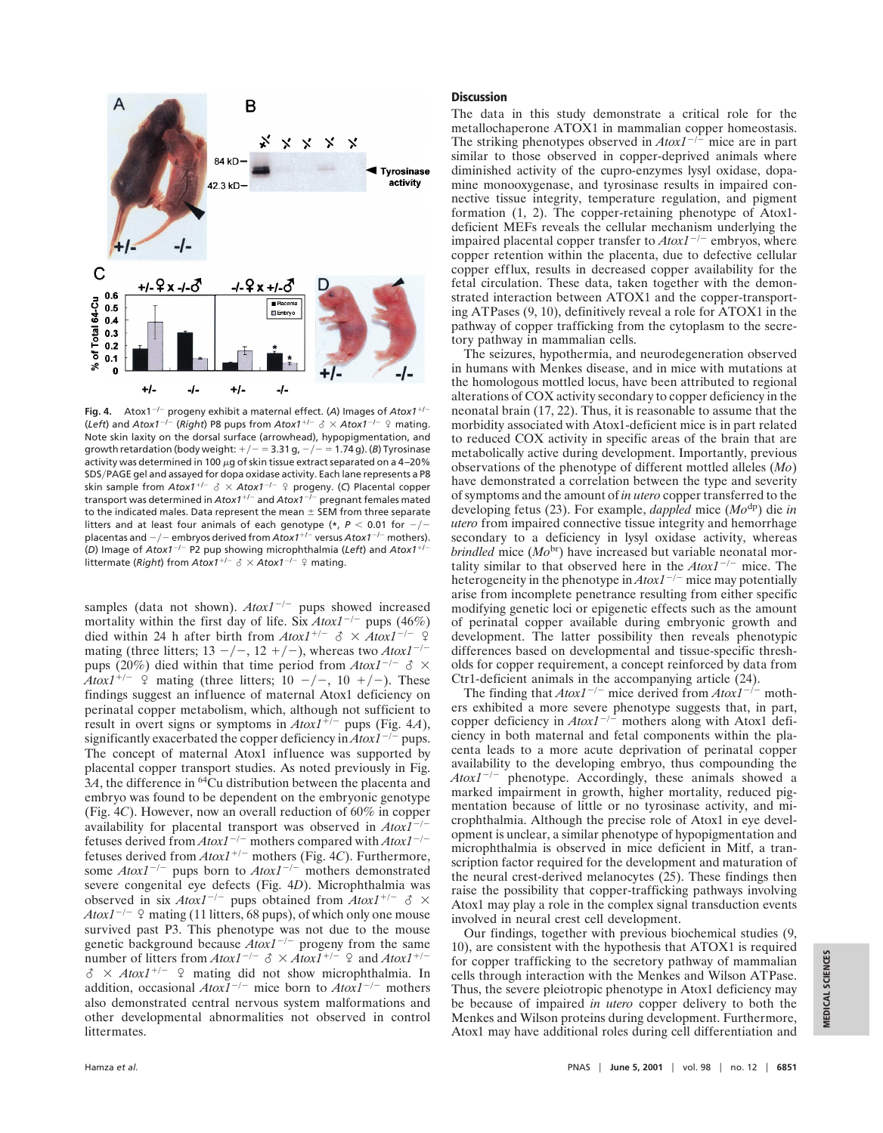

**Fig. 4.** Atox1<sup>-/-</sup> progeny exhibit a maternal effect. (A) Images of  $A$ tox1<sup>+/-</sup> (*Left*) and *Atox1<sup>-/-</sup>* (*Right*) P8 pups from  $A\text{to}x1^{+/-}$   $\delta \times A\text{to}x1^{-/-}$  ? mating. Note skin laxity on the dorsal surface (arrowhead), hypopigmentation, and growth retardation (body weight:  $+/- = 3.31$  g,  $-/- = 1.74$  g). (*B*) Tyrosinase activity was determined in 100  $\mu$ g of skin tissue extract separated on a 4–20% SDS/PAGE gel and assayed for dopa oxidase activity. Each lane represents a P8 skin sample from  $A\text{to}x1^{+/-}$   $\delta \times A\text{to}x1^{-/-}$   $\Omega$  progeny. (C) Placental copper transport was determined in *Atox1<sup>+/-</sup>* and *Atox1<sup>-/-</sup>* pregnant females mated to the indicated males. Data represent the mean  $\pm$  SEM from three separate litters and at least four animals of each genotype ( $*$ ,  $P < 0.01$  for  $-/$ placentas and  $-/-$  embryos derived from  $A\tau$ tox1<sup>+/-</sup> versus  $A\tau$ tox1<sup>-/-</sup> mothers). (*D*) Image of *Atox1<sup>-/-</sup>* P2 pup showing microphthalmia (*Left*) and *Atox1<sup>+/-</sup>* littermate (*Right*) from  $A$ tox1<sup>+/-</sup>  $\delta$  ×  $A$ tox1<sup>-/-</sup>  $\Omega$  mating.

samples (data not shown).  $A\text{to}xI^{-/-}$  pups showed increased mortality within the first day of life. Six  $A\text{to}x1^{-/-}$  pups (46%) died within 24 h after birth from  $A\tau b\alpha T^{+/-} \propto \lambda A\tau b\alpha T^{-/-}$ mating (three litters;  $13 - / -$ ,  $12 + / -$ ), whereas two *Atox1<sup>-/-</sup>* pups (20%) died within that time period from  $A\tau I^{-/-} \delta$  × *Atox1*<sup>+/-</sup>  $\varphi$  mating (three litters; 10 -/-, 10 +/-). These findings suggest an influence of maternal Atox1 deficiency on perinatal copper metabolism, which, although not sufficient to result in overt signs or symptoms in  $A\text{to}tI^{+/-}$  pups (Fig. 4*A*), significantly exacerbated the copper deficiency in  $A\tau/\gamma$ <sup>-/-</sup> pups. The concept of maternal Atox1 influence was supported by placental copper transport studies. As noted previously in Fig.  $3A$ , the difference in <sup>64</sup>Cu distribution between the placenta and embryo was found to be dependent on the embryonic genotype (Fig. 4*C*). However, now an overall reduction of 60% in copper availability for placental transport was observed in  $Atox1^{-/-}$ fetuses derived from  $A\text{to}x1^{-/-}$  mothers compared with  $A\text{to}x1^{-/-}$ fetuses derived from  $Atox1^{+/-}$  mothers (Fig. 4*C*). Furthermore, some  $Atox1^{-/-}$  pups born to  $Atox1^{-/-}$  mothers demonstrated severe congenital eye defects (Fig. 4*D*). Microphthalmia was observed in six  $Atox1^{-/-}$  pups obtained from  $Atox1^{+/-}$   $\delta$  × *Atox1<sup>-/-</sup>*  $\Omega$  mating (11 litters, 68 pups), of which only one mouse survived past P3. This phenotype was not due to the mouse genetic background because  $Atox1^{-/-}$  progeny from the same number of litters from  $A\text{to}x1^{-/-} \delta \times A\text{to}x1^{+/-}$  ? and  $A\text{to}x1^{+/-}$  $\delta \times A$ tox1<sup>+/-</sup>  $\Omega$  mating did not show microphthalmia. In addition, occasional  $A\text{to}I^{-/-}$  mice born to  $A\text{to}I^{-/-}$  mothers also demonstrated central nervous system malformations and other developmental abnormalities not observed in control littermates.

## **Discussion**

The data in this study demonstrate a critical role for the metallochaperone ATOX1 in mammalian copper homeostasis. The striking phenotypes observed in  $A\text{to}x1^{-/-}$  mice are in part similar to those observed in copper-deprived animals where diminished activity of the cupro-enzymes lysyl oxidase, dopamine monooxygenase, and tyrosinase results in impaired connective tissue integrity, temperature regulation, and pigment formation (1, 2). The copper-retaining phenotype of Atox1 deficient MEFs reveals the cellular mechanism underlying the impaired placental copper transfer to  $A\text{to}xI^{-/-}$  embryos, where copper retention within the placenta, due to defective cellular copper efflux, results in decreased copper availability for the fetal circulation. These data, taken together with the demonstrated interaction between ATOX1 and the copper-transporting ATPases (9, 10), definitively reveal a role for ATOX1 in the pathway of copper trafficking from the cytoplasm to the secretory pathway in mammalian cells.

The seizures, hypothermia, and neurodegeneration observed in humans with Menkes disease, and in mice with mutations at the homologous mottled locus, have been attributed to regional alterations of COX activity secondary to copper deficiency in the neonatal brain (17, 22). Thus, it is reasonable to assume that the morbidity associated with Atox1-deficient mice is in part related to reduced COX activity in specific areas of the brain that are metabolically active during development. Importantly, previous observations of the phenotype of different mottled alleles (*Mo*) have demonstrated a correlation between the type and severity of symptoms and the amount of *in utero* copper transferred to the developing fetus (23). For example, *dappled* mice (*Mo*dp) die *in utero* from impaired connective tissue integrity and hemorrhage secondary to a deficiency in lysyl oxidase activity, whereas *brindled* mice (*Mo*br) have increased but variable neonatal mortality similar to that observed here in the  $Atox1^{-/-}$  mice. The heterogeneity in the phenotype in  $A\text{to}x1^{-/-}$  mice may potentially arise from incomplete penetrance resulting from either specific modifying genetic loci or epigenetic effects such as the amount of perinatal copper available during embryonic growth and development. The latter possibility then reveals phenotypic differences based on developmental and tissue-specific thresholds for copper requirement, a concept reinforced by data from Ctr1-deficient animals in the accompanying article (24).

The finding that  $A\text{to}x1^{-/-}$  mice derived from  $A\text{to}x1^{-/-}$  mothers exhibited a more severe phenotype suggests that, in part, copper deficiency in  $A\text{to}x1^{-/-}$  mothers along with Atox1 deficiency in both maternal and fetal components within the placenta leads to a more acute deprivation of perinatal copper availability to the developing embryo, thus compounding the  $Atox1^{-/-}$  phenotype. Accordingly, these animals showed a marked impairment in growth, higher mortality, reduced pigmentation because of little or no tyrosinase activity, and microphthalmia. Although the precise role of Atox1 in eye development is unclear, a similar phenotype of hypopigmentation and microphthalmia is observed in mice deficient in Mitf, a transcription factor required for the development and maturation of the neural crest-derived melanocytes (25). These findings then raise the possibility that copper-trafficking pathways involving Atox1 may play a role in the complex signal transduction events involved in neural crest cell development.

Our findings, together with previous biochemical studies (9, 10), are consistent with the hypothesis that ATOX1 is required for copper trafficking to the secretory pathway of mammalian cells through interaction with the Menkes and Wilson ATPase. Thus, the severe pleiotropic phenotype in Atox1 deficiency may be because of impaired *in utero* copper delivery to both the Menkes and Wilson proteins during development. Furthermore, Atox1 may have additional roles during cell differentiation and